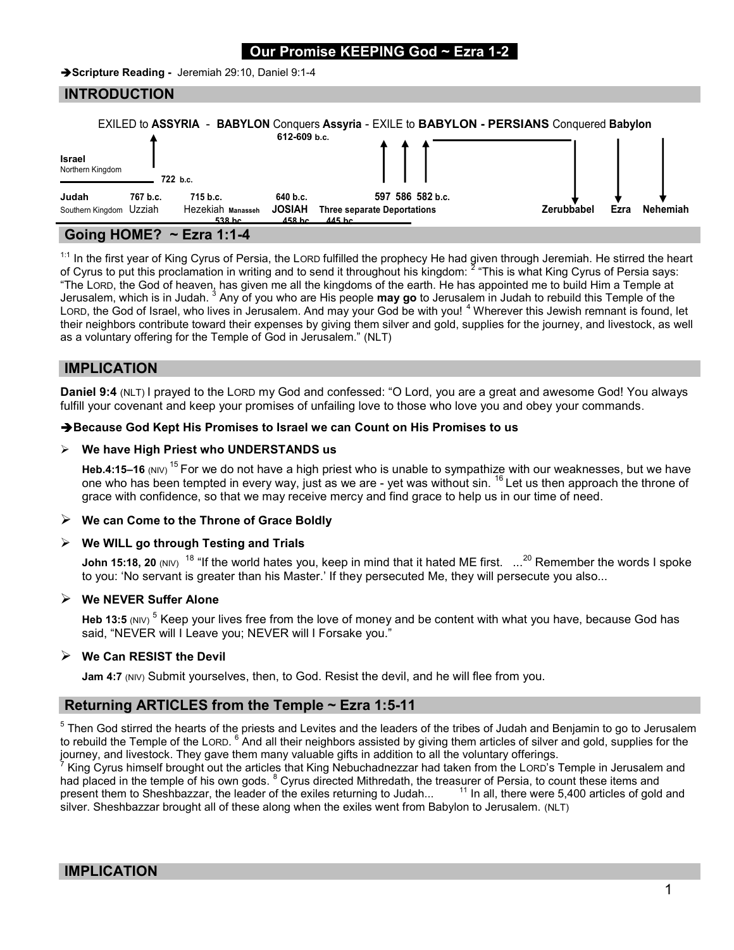# Our Promise KEEPING God ~ Ezra

Scripture Reading - Jeremiah 29:10, Daniel 9:1-4

### INTRODUCTION

|                                   | <b>EXILED to ASSYRIA</b> |                                                    | 612-609 b.c.                                   | <b>BABYLON</b> Conquers Assyria - EXILE to <b>BABYLON - PERSIANS</b> Conquered Babylon |                    |                 |
|-----------------------------------|--------------------------|----------------------------------------------------|------------------------------------------------|----------------------------------------------------------------------------------------|--------------------|-----------------|
| <b>Israel</b><br>Northern Kingdom |                          | 722 b.c.                                           |                                                |                                                                                        |                    |                 |
| Judah<br>Southern Kingdom Uzziah  | 767 b.c.                 | 715 b.c.<br>Hezekiah Manasseh<br>538 <sub>bc</sub> | 640 b.c.<br><b>JOSIAH</b><br>458 <sub>bc</sub> | 597 586 582 b.c.<br><b>Three separate Deportations</b><br>$445$ hc                     | Zerubbabel<br>Ezra | <b>Nehemiah</b> |
| $A.$ IIAMPA                       |                          | <b>PULLER</b>                                      |                                                |                                                                                        |                    |                 |

# Going HOME? ~ Ezra 1:1-4

<sup>1:1</sup> In the first year of King Cyrus of Persia, the LORD fulfilled the prophecy He had given through Jeremiah. He stirred the heart of Cyrus to put this proclamation in writing and to send it throughout his kingdom: <sup>2</sup> "This is what King Cyrus of Persia says: "The LORD, the God of heaven, has given me all the kingdoms of the earth. He has appointed me to build Him a Temple at Jerusalem, which is in Judah. <sup>3</sup> Any of you who are His people may go to Jerusalem in Judah to rebuild this Temple of the LORD, the God of Israel, who lives in Jerusalem. And may your God be with you! <sup>4</sup> Wherever this Jewish remnant is found, let their neighbors contribute toward their expenses by giving them silver and gold, supplies for the journey, and livestock, as well as a voluntary offering for the Temple of God in Jerusalem." (NLT)

### IMPLICATION

Daniel 9:4 (NLT) I prayed to the LORD my God and confessed: "O Lord, you are a great and awesome God! You always fulfill your covenant and keep your promises of unfailing love to those who love you and obey your commands.

#### **→ Because God Kept His Promises to Israel we can Count on His Promises to us**

#### $\triangleright$  We have High Priest who UNDERSTANDS us

Heb.4:15–16 (NIV) <sup>15</sup> For we do not have a high priest who is unable to sympathize with our weaknesses, but we have one who has been tempted in every way, just as we are - yet was without sin. <sup>16</sup> Let us then approach the throne of grace with confidence, so that we may receive mercy and find grace to help us in our time of need.

#### $\triangleright$  We can Come to the Throne of Grace Boldly

#### $\triangleright$  We WILL go through Testing and Trials

John 15:18, 20 (NIV)  $^{18}$  "If the world hates you, keep in mind that it hated ME first.  $\,$  ...<sup>20</sup> Remember the words I spoke to you: 'No servant is greater than his Master.' If they persecuted Me, they will persecute you also...

### $\triangleright$  We NEVER Suffer Alone

Heb 13:5 (NIV)  $^5$  Keep your lives free from the love of money and be content with what you have, because God has said, "NEVER will I Leave you; NEVER will I Forsake you."

### $\triangleright$  We Can RESIST the Devil

Jam 4:7 (NIV) Submit yourselves, then, to God. Resist the devil, and he will flee from you.

# Returning ARTICLES from the Temple ~ Ezra 1:5-11

 $^5$  Then God stirred the hearts of the priests and Levites and the leaders of the tribes of Judah and Benjamin to go to Jerusalem to rebuild the Temple of the LORD. <sup>6</sup> And all their neighbors assisted by giving them articles of silver and gold, supplies for the journey, and livestock. They gave them many valuable gifts in addition to all the voluntary offerings.

7 King Cyrus himself brought out the articles that King Nebuchadnezzar had taken from the LORD's Temple in Jerusalem and had placed in the temple of his own gods. <sup>8</sup> Cyrus directed Mithredath, the treasurer of Persia, to count these items and present them to Sheshbazzar, the leader of the exiles returning to Judah...  $11$  In all, there were 5,400 articles of gold and silver. Sheshbazzar brought all of these along when the exiles went from Babylon to Jerusalem. (NLT)

# IMPLICATION